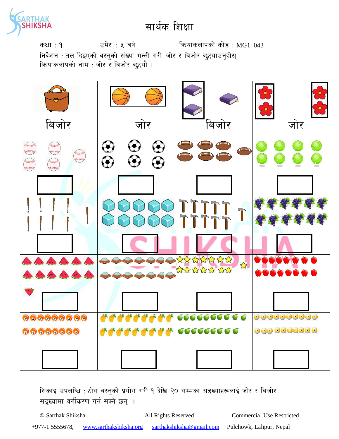

कक्षा : १  $\sigma$  उमेर : ५ वर्ष : क्षियाकलापको कोड : MG1\_043 निर्देशन : तल दिइएको वस्तुको संख्या गन्ती गरी जोर र बिजोर छुट्याउनुहोस् । कियाकलापको नाम : जोर र बिजोर छटयौं ।



सिकाइ उपलब्धि : ठोस वस्तुको प्रयोग गरी १ देखि २० सम्मका सङ्ख्याहरूलाई जोर र बिजोर सङ्ख्यामा वर्गीकरण गर्न सक्ने छन् ।

© Sarthak Shiksha All Rights Reserved Commercial Use Restricted +977-1 5555678, www.sarthakshiksha.org sarthakshiksha@gmail.com Pulchowk, Lalipur, Nepal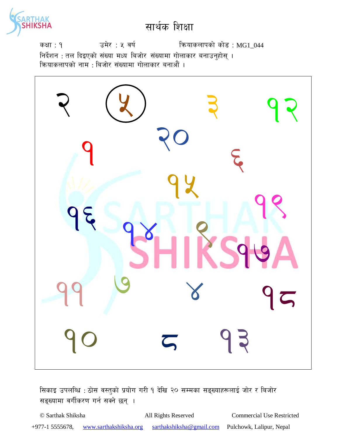

उमेर : ५ वर्ष कियाकलापको कोड : MG1\_044 कक्षा : १ निर्देशन : तल दिइएको संख्या मध्य बिजोर संख्यामा गोलाकार बनाउनुहोस् ।<br>क्रियाकलापको नाम : बिजोर संख्यामा गोलाकार बनाऔं ।



सिकाइ उपलब्धि: ठोस वस्तुको प्रयोग गरी १ देखि २० सम्मका सङ्ख्याहरूलाई जोर र बिजोर सङ्ख्यामा वर्गीकरण गर्न सक्ने छन् ।

© Sarthak Shiksha All Rights Reserved **Commercial Use Restricted** +977-1 5555678, www.sarthakshiksha.org sarthakshiksha@gmail.com Pulchowk, Lalipur, Nepal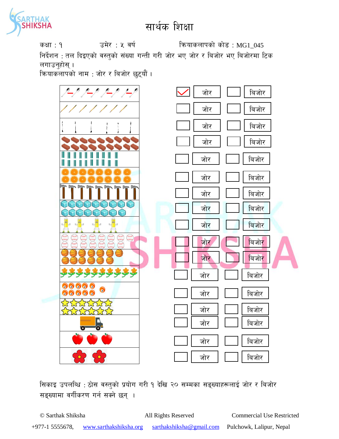

कक्षा : १  $\sigma$  उमेर : ५ वर्ष : क्षियाकलापको कोड : MG1\_045

निर्देशन : तल दिइएको वस्तुको संख्या गन्ती गरी जोर भए जोर र बिजोर भए बिजोरमा टिक लगाउनुहोस् ।

क्रियाकलापको नाम : जोर र बिजोर छुट्यौं ।



सिकाइ उपलब्धि : ठोस वस्तुको प्रयोग गरी १ देखि २० सम्मका सङ्ख्याहरूलाई जोर र बिजोर सङ्ख्यामा वर्गीकरण गर्न सक्ने छन् ।